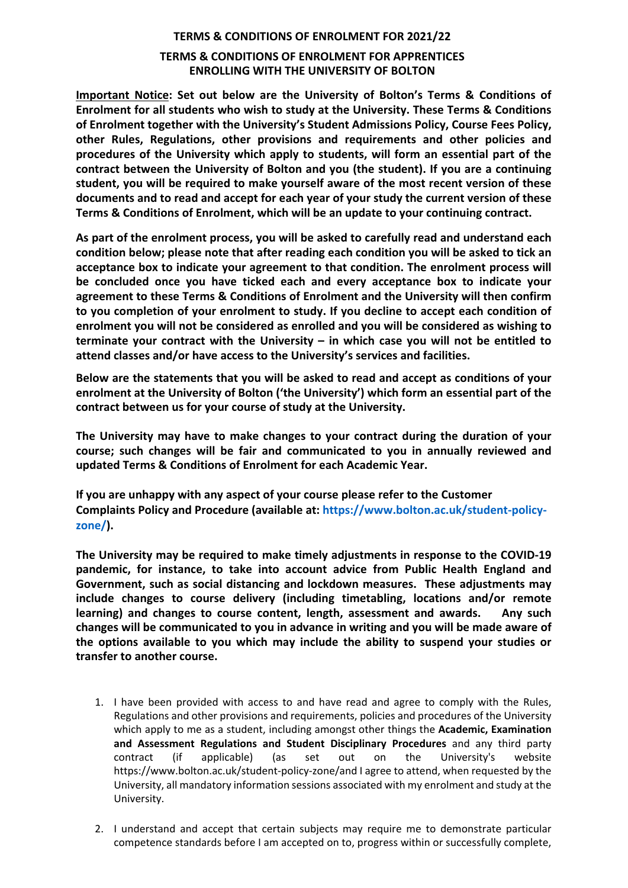## **TERMS & CONDITIONS OF ENROLMENT FOR 2021/22 TERMS & CONDITIONS OF ENROLMENT FOR APPRENTICES ENROLLING WITH THE UNIVERSITY OF BOLTON**

**Important Notice: Set out below are the University of Bolton's Terms & Conditions of Enrolment for all students who wish to study at the University. These Terms & Conditions of Enrolment together with the University's Student Admissions Policy, Course Fees Policy, other Rules, Regulations, other provisions and requirements and other policies and procedures of the University which apply to students, will form an essential part of the contract between the University of Bolton and you (the student). If you are a continuing student, you will be required to make yourself aware of the most recent version of these documents and to read and accept for each year of your study the current version of these Terms & Conditions of Enrolment, which will be an update to your continuing contract.**

**As part of the enrolment process, you will be asked to carefully read and understand each condition below; please note that after reading each condition you will be asked to tick an acceptance box to indicate your agreement to that condition. The enrolment process will be concluded once you have ticked each and every acceptance box to indicate your agreement to these Terms & Conditions of Enrolment and the University will then confirm to you completion of your enrolment to study. If you decline to accept each condition of enrolment you will not be considered as enrolled and you will be considered as wishing to terminate your contract with the University – in which case you will not be entitled to attend classes and/or have access to the University's services and facilities.**

**Below are the statements that you will be asked to read and accept as conditions of your enrolment at the University of Bolton ('the University') which form an essential part of the contract between us for your course of study at the University.**

**The University may have to make changes to your contract during the duration of your course; such changes will be fair and communicated to you in annually reviewed and updated Terms & Conditions of Enrolment for each Academic Year.**

**If you are unhappy with any aspect of your course please refer to the Customer Complaints Policy and Procedure (available at: https://www.bolton.ac.uk/student-policyzone/).** 

**The University may be required to make timely adjustments in response to the COVID-19 pandemic, for instance, to take into account advice from Public Health England and Government, such as social distancing and lockdown measures. These adjustments may include changes to course delivery (including timetabling, locations and/or remote learning) and changes to course content, length, assessment and awards. Any such changes will be communicated to you in advance in writing and you will be made aware of the options available to you which may include the ability to suspend your studies or transfer to another course.**

- 1. I have been provided with access to and have read and agree to comply with the Rules, Regulations and other provisions and requirements, policies and procedures of the University which apply to me as a student, including amongst other things the **Academic, Examination and Assessment Regulations and Student Disciplinary Procedures** and any third party contract (if applicable) (as set out on the University's website https://www.bolton.ac.uk/student-policy-zone/and I agree to attend, when requested by the University, all mandatory information sessions associated with my enrolment and study at the University.
- 2. I understand and accept that certain subjects may require me to demonstrate particular competence standards before I am accepted on to, progress within or successfully complete,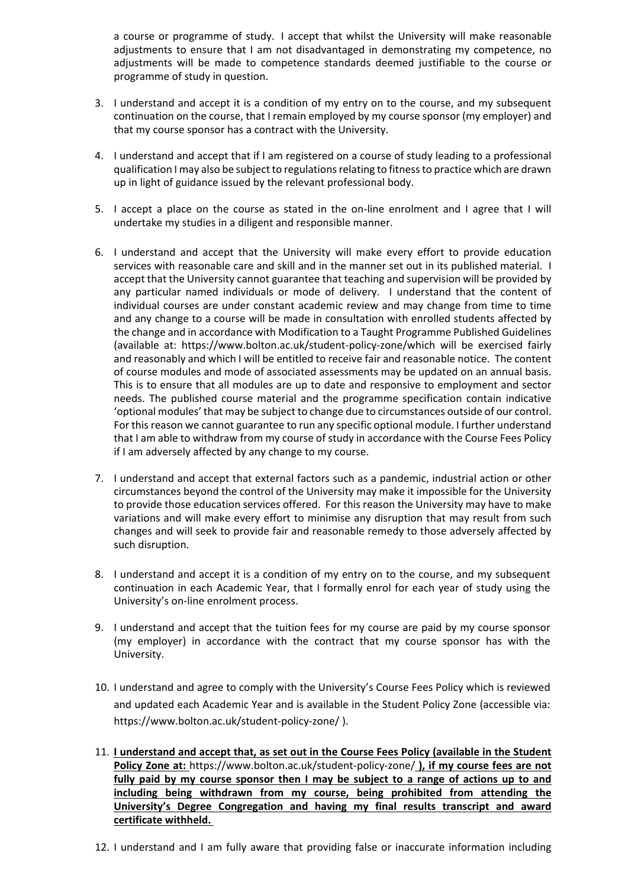a course or programme of study. I accept that whilst the University will make reasonable adjustments to ensure that I am not disadvantaged in demonstrating my competence, no adjustments will be made to competence standards deemed justifiable to the course or programme of study in question.

- 3. I understand and accept it is a condition of my entry on to the course, and my subsequent continuation on the course, that I remain employed by my course sponsor (my employer) and that my course sponsor has a contract with the University.
- 4. I understand and accept that if I am registered on a course of study leading to a professional qualification I may also be subject to regulations relating to fitness to practice which are drawn up in light of guidance issued by the relevant professional body.
- 5. I accept a place on the course as stated in the on-line enrolment and I agree that I will undertake my studies in a diligent and responsible manner.
- 6. I understand and accept that the University will make every effort to provide education services with reasonable care and skill and in the manner set out in its published material. I accept that the University cannot guarantee that teaching and supervision will be provided by any particular named individuals or mode of delivery. I understand that the content of individual courses are under constant academic review and may change from time to time and any change to a course will be made in consultation with enrolled students affected by the change and in accordance with Modification to a Taught Programme Published Guidelines (available at: https://www.bolton.ac.uk/student-policy-zone/which will be exercised fairly and reasonably and which I will be entitled to receive fair and reasonable notice. The content of course modules and mode of associated assessments may be updated on an annual basis. This is to ensure that all modules are up to date and responsive to employment and sector needs. The published course material and the programme specification contain indicative 'optional modules' that may be subject to change due to circumstances outside of our control. For this reason we cannot guarantee to run any specific optional module. I further understand that I am able to withdraw from my course of study in accordance with the Course Fees Policy if I am adversely affected by any change to my course.
- 7. I understand and accept that external factors such as a pandemic, industrial action or other circumstances beyond the control of the University may make it impossible for the University to provide those education services offered. For this reason the University may have to make variations and will make every effort to minimise any disruption that may result from such changes and will seek to provide fair and reasonable remedy to those adversely affected by such disruption.
- 8. I understand and accept it is a condition of my entry on to the course, and my subsequent continuation in each Academic Year, that I formally enrol for each year of study using the University's on-line enrolment process.
- 9. I understand and accept that the tuition fees for my course are paid by my course sponsor (my employer) in accordance with the contract that my course sponsor has with the University.
- 10. I understand and agree to comply with the University's Course Fees Policy which is reviewed and updated each Academic Year and is available in the Student Policy Zone (accessible via: https://www.bolton.ac.uk/student-policy-zone/ ).
- 11. **I understand and accept that, as set out in the Course Fees Policy (available in the Student Policy Zone at:** https://www.bolton.ac.uk/student-policy-zone/ **), if my course fees are not fully paid by my course sponsor then I may be subject to a range of actions up to and including being withdrawn from my course, being prohibited from attending the University's Degree Congregation and having my final results transcript and award certificate withheld.**
- 12. I understand and I am fully aware that providing false or inaccurate information including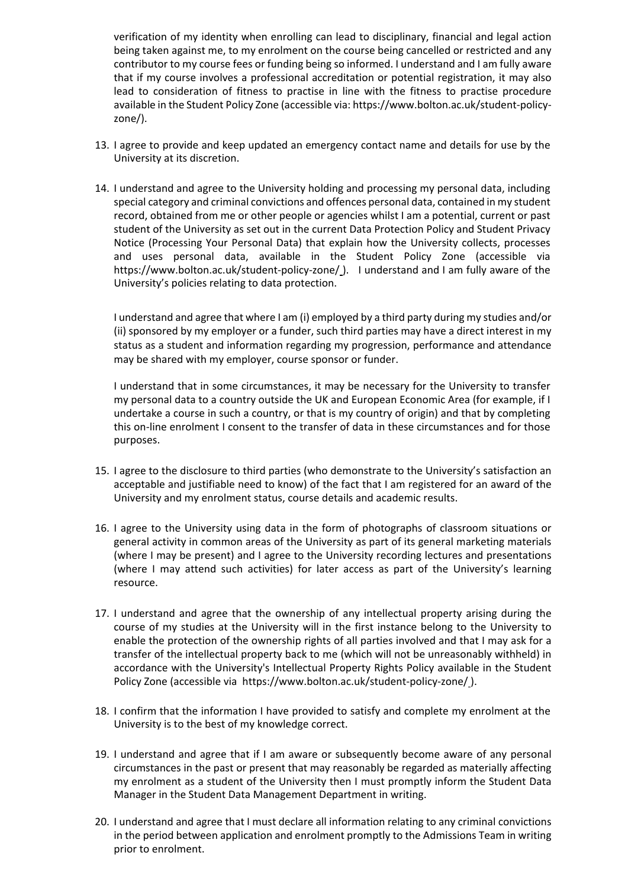verification of my identity when enrolling can lead to disciplinary, financial and legal action being taken against me, to my enrolment on the course being cancelled or restricted and any contributor to my course fees or funding being so informed. I understand and I am fully aware that if my course involves a professional accreditation or potential registration, it may also lead to consideration of fitness to practise in line with the fitness to practise procedure available in the Student Policy Zone (accessible via: https://www.bolton.ac.uk/student-policyzone/).

- 13. I agree to provide and keep updated an emergency contact name and details for use by the University at its discretion.
- 14. I understand and agree to the University holding and processing my personal data, including special category and criminal convictions and offences personal data, contained in my student record, obtained from me or other people or agencies whilst I am a potential, current or past student of the University as set out in the current Data Protection Policy and Student Privacy Notice (Processing Your Personal Data) that explain how the University collects, processes and uses personal data, available in the Student Policy Zone (accessible via https://www.bolton.ac.uk/student-policy-zone/ ). I understand and I am fully aware of the University's policies relating to data protection.

I understand and agree that where I am (i) employed by a third party during my studies and/or (ii) sponsored by my employer or a funder, such third parties may have a direct interest in my status as a student and information regarding my progression, performance and attendance may be shared with my employer, course sponsor or funder.

I understand that in some circumstances, it may be necessary for the University to transfer my personal data to a country outside the UK and European Economic Area (for example, if I undertake a course in such a country, or that is my country of origin) and that by completing this on-line enrolment I consent to the transfer of data in these circumstances and for those purposes.

- 15. I agree to the disclosure to third parties (who demonstrate to the University's satisfaction an acceptable and justifiable need to know) of the fact that I am registered for an award of the University and my enrolment status, course details and academic results.
- 16. I agree to the University using data in the form of photographs of classroom situations or general activity in common areas of the University as part of its general marketing materials (where I may be present) and I agree to the University recording lectures and presentations (where I may attend such activities) for later access as part of the University's learning resource.
- 17. I understand and agree that the ownership of any intellectual property arising during the course of my studies at the University will in the first instance belong to the University to enable the protection of the ownership rights of all parties involved and that I may ask for a transfer of the intellectual property back to me (which will not be unreasonably withheld) in accordance with the University's Intellectual Property Rights Policy available in the Student Policy Zone (accessible via https://www.bolton.ac.uk/student-policy-zone/ ).
- 18. I confirm that the information I have provided to satisfy and complete my enrolment at the University is to the best of my knowledge correct.
- 19. I understand and agree that if I am aware or subsequently become aware of any personal circumstances in the past or present that may reasonably be regarded as materially affecting my enrolment as a student of the University then I must promptly inform the Student Data Manager in the Student Data Management Department in writing.
- 20. I understand and agree that I must declare all information relating to any criminal convictions in the period between application and enrolment promptly to the Admissions Team in writing prior to enrolment.